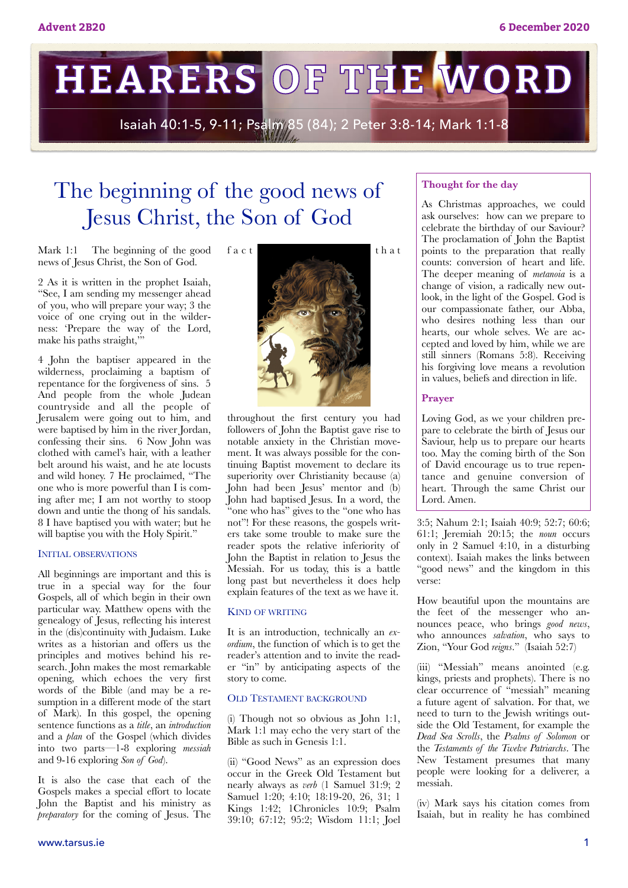**HEARERS OF THE WORD** 

Isaiah 40:1-5, 9-11; Psalm 85 (84); 2 Peter 3:8-14; Mark 1:1-8

## The beginning of the good news of Jesus Christ, the Son of God

Mark 1:1 The beginning of the good news of Jesus Christ, the Son of God.

2 As it is written in the prophet Isaiah, "See, I am sending my messenger ahead of you, who will prepare your way; 3 the voice of one crying out in the wilderness: 'Prepare the way of the Lord, make his paths straight,"

4 John the baptiser appeared in the wilderness, proclaiming a baptism of repentance for the forgiveness of sins. 5 And people from the whole Judean countryside and all the people of Jerusalem were going out to him, and were baptised by him in the river Jordan, confessing their sins. 6 Now John was clothed with camel's hair, with a leather belt around his waist, and he ate locusts and wild honey. 7 He proclaimed, "The one who is more powerful than I is coming after me; I am not worthy to stoop down and untie the thong of his sandals. 8 I have baptised you with water; but he will baptise you with the Holy Spirit."

#### INITIAL OBSERVATIONS

All beginnings are important and this is true in a special way for the four Gospels, all of which begin in their own particular way. Matthew opens with the genealogy of Jesus, reflecting his interest in the (dis)continuity with Judaism. Luke writes as a historian and offers us the principles and motives behind his research. John makes the most remarkable opening, which echoes the very first words of the Bible (and may be a resumption in a different mode of the start of Mark). In this gospel, the opening sentence functions as a *title*, an *introduction* and a *plan* of the Gospel (which divides into two parts—1-8 exploring *messiah* and 9-16 exploring *Son of God*).

It is also the case that each of the Gospels makes a special effort to locate John the Baptist and his ministry as *preparatory* for the coming of Jesus. The



throughout the first century you had followers of John the Baptist gave rise to notable anxiety in the Christian movement. It was always possible for the continuing Baptist movement to declare its superiority over Christianity because (a) John had been Jesus' mentor and (b) John had baptised Jesus. In a word, the "one who has" gives to the "one who has not"! For these reasons, the gospels writers take some trouble to make sure the reader spots the relative inferiority of John the Baptist in relation to Jesus the Messiah. For us today, this is a battle long past but nevertheless it does help explain features of the text as we have it.

#### KIND OF WRITING

It is an introduction, technically an *exordium*, the function of which is to get the reader's attention and to invite the reader "in" by anticipating aspects of the story to come.

#### OLD TESTAMENT BACKGROUND

(i) Though not so obvious as John 1:1, Mark 1:1 may echo the very start of the Bible as such in Genesis 1:1.

(ii) "Good News" as an expression does occur in the Greek Old Testament but nearly always as *verb* (1 Samuel 31:9; 2 Samuel 1:20; 4:10; 18:19-20, 26, 31; 1 Kings 1:42; 1Chronicles 10:9; Psalm 39:10; 67:12; 95:2; Wisdom 11:1; Joel

#### **Thought for the day**

As Christmas approaches, we could ask ourselves: how can we prepare to celebrate the birthday of our Saviour? The proclamation of John the Baptist points to the preparation that really counts: conversion of heart and life. The deeper meaning of *metanoia* is a change of vision, a radically new outlook, in the light of the Gospel. God is our compassionate father, our Abba, who desires nothing less than our hearts, our whole selves. We are accepted and loved by him, while we are still sinners (Romans 5:8). Receiving his forgiving love means a revolution in values, beliefs and direction in life.

#### **Prayer**

Loving God, as we your children prepare to celebrate the birth of Jesus our Saviour, help us to prepare our hearts too. May the coming birth of the Son of David encourage us to true repentance and genuine conversion of heart. Through the same Christ our Lord. Amen.

3:5; Nahum 2:1; Isaiah 40:9; 52:7; 60:6; 61:1; Jeremiah 20:15; the *noun* occurs only in 2 Samuel 4:10, in a disturbing context). Isaiah makes the links between "good news" and the kingdom in this verse:

How beautiful upon the mountains are the feet of the messenger who announces peace, who brings *good news*, who announces *salvation*, who says to Zion, "Your God *reigns*." (Isaiah 52:7)

(iii) "Messiah" means anointed (e.g. kings, priests and prophets). There is no clear occurrence of "messiah" meaning a future agent of salvation. For that, we need to turn to the Jewish writings outside the Old Testament, for example the *Dead Sea Scrolls*, the *Psalms of Solomon* or the *Testaments of the Twelve Patriarchs*. The New Testament presumes that many people were looking for a deliverer, a messiah.

(iv) Mark says his citation comes from Isaiah, but in reality he has combined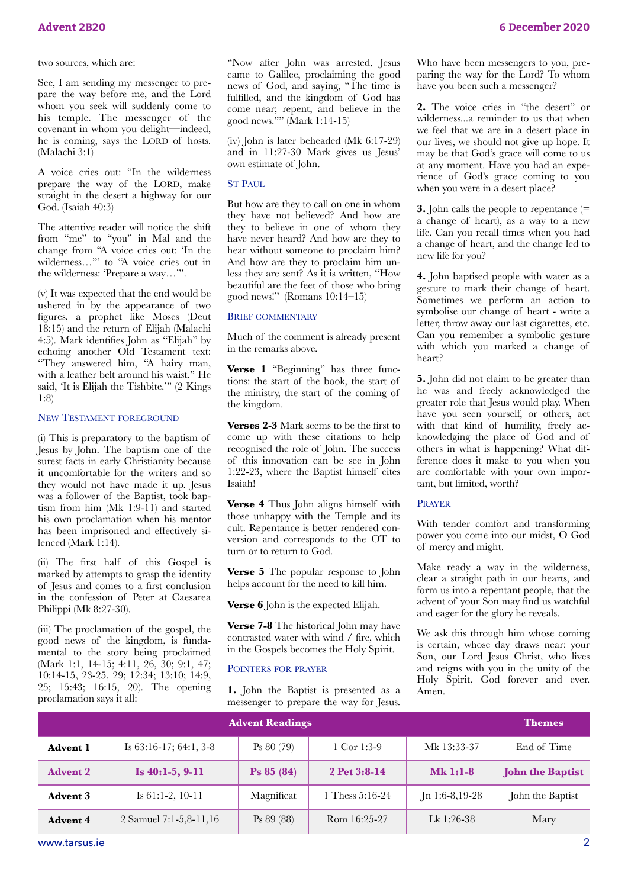See, I am sending my messenger to prepare the way before me, and the Lord whom you seek will suddenly come to his temple. The messenger of the covenant in whom you delight—indeed, he is coming, says the LORD of hosts. (Malachi 3:1)

A voice cries out: "In the wilderness prepare the way of the LORD, make straight in the desert a highway for our God. (Isaiah 40:3)

The attentive reader will notice the shift from "me" to "you" in Mal and the change from "A voice cries out: 'In the wilderness…'" to "A voice cries out in the wilderness: 'Prepare a way…'".

(v) It was expected that the end would be ushered in by the appearance of two figures, a prophet like Moses (Deut 18:15) and the return of Elijah (Malachi 4:5). Mark identifies John as "Elijah" by echoing another Old Testament text: "They answered him, "A hairy man, with a leather belt around his waist." He said, 'It is Elijah the Tishbite.'" (2 Kings 1:8)

#### NEW TESTAMENT FOREGROUND

(i) This is preparatory to the baptism of Jesus by John. The baptism one of the surest facts in early Christianity because it uncomfortable for the writers and so they would not have made it up. Jesus was a follower of the Baptist, took baptism from him (Mk 1:9-11) and started his own proclamation when his mentor has been imprisoned and effectively silenced (Mark 1:14).

(ii) The first half of this Gospel is marked by attempts to grasp the identity of Jesus and comes to a first conclusion in the confession of Peter at Caesarea Philippi (Mk 8:27-30).

(iii) The proclamation of the gospel, the good news of the kingdom, is fundamental to the story being proclaimed (Mark 1:1, 14-15; 4:11, 26, 30; 9:1, 47; 10:14-15, 23-25, 29; 12:34; 13:10; 14:9, 25; 15:43; 16:15, 20). The opening proclamation says it all:

"Now after John was arrested, Jesus came to Galilee, proclaiming the good news of God, and saying, "The time is fulfilled, and the kingdom of God has come near; repent, and believe in the good news."" (Mark 1:14-15)

(iv) John is later beheaded (Mk 6:17-29) and in 11:27-30 Mark gives us Jesus' own estimate of John.

#### ST PAUL

But how are they to call on one in whom they have not believed? And how are they to believe in one of whom they have never heard? And how are they to hear without someone to proclaim him? And how are they to proclaim him unless they are sent? As it is written, "How beautiful are the feet of those who bring good news!" (Romans 10:14–15)

#### BRIEF COMMENTARY

Much of the comment is already present in the remarks above.

**Verse 1** "Beginning" has three functions: the start of the book, the start of the ministry, the start of the coming of the kingdom.

**Verses 2-3** Mark seems to be the first to come up with these citations to help recognised the role of John. The success of this innovation can be see in John 1:22-23, where the Baptist himself cites Isaiah!

**Verse 4** Thus John aligns himself with those unhappy with the Temple and its cult. Repentance is better rendered conversion and corresponds to the OT to turn or to return to God.

**Verse 5** The popular response to John helps account for the need to kill him.

**Verse 6** John is the expected Elijah.

**Verse 7-8** The historical John may have contrasted water with wind / fire, which in the Gospels becomes the Holy Spirit.

#### POINTERS FOR PRAYER

**1.** John the Baptist is presented as a messenger to prepare the way for Jesus. Who have been messengers to you, preparing the way for the Lord? To whom have you been such a messenger?

**2.** The voice cries in "the desert" or wilderness...a reminder to us that when we feel that we are in a desert place in our lives, we should not give up hope. It may be that God's grace will come to us at any moment. Have you had an experience of God's grace coming to you when you were in a desert place?

**3.** John calls the people to repentance (= a change of heart), as a way to a new life. Can you recall times when you had a change of heart, and the change led to new life for you?

**4.** John baptised people with water as a gesture to mark their change of heart. Sometimes we perform an action to symbolise our change of heart - write a letter, throw away our last cigarettes, etc. Can you remember a symbolic gesture with which you marked a change of heart?

**5.** John did not claim to be greater than he was and freely acknowledged the greater role that Jesus would play. When have you seen yourself, or others, act with that kind of humility, freely acknowledging the place of God and of others in what is happening? What difference does it make to you when you are comfortable with your own important, but limited, worth?

#### PRAYER

With tender comfort and transforming power you come into our midst, O God of mercy and might.

Make ready a way in the wilderness, clear a straight path in our hearts, and form us into a repentant people, that the advent of your Son may find us watchful and eager for the glory he reveals.

We ask this through him whose coming is certain, whose day draws near: your Son, our Lord Jesus Christ, who lives and reigns with you in the unity of the Holy Spirit, God forever and ever. Amen.

|                 | <b>Advent Readings</b>         |                       |                   |                | <b>Themes</b>           |
|-----------------|--------------------------------|-----------------------|-------------------|----------------|-------------------------|
| <b>Advent 1</b> | Is $63:16-17$ ; $64:1$ , $3-8$ | Ps 80(79)             | 1 Cor 1:3-9       | Mk 13:33-37    | End of Time             |
| <b>Advent 2</b> | Is $40:1-5, 9-11$              | $\textbf{Ps} 85 (84)$ | 2 Pet 3:8-14      | $Mk$ 1:1-8     | <b>John the Baptist</b> |
| <b>Advent 3</b> | Is $61:1-2$ , $10-11$          | Magnificat            | 1 Thess $5:16-24$ | Jn 1:6-8,19-28 | John the Baptist        |
| <b>Advent 4</b> | 2 Samuel 7:1-5,8-11,16         | Ps 89 (88)            | Rom 16:25-27      | Lk $1:26-38$   | Mary                    |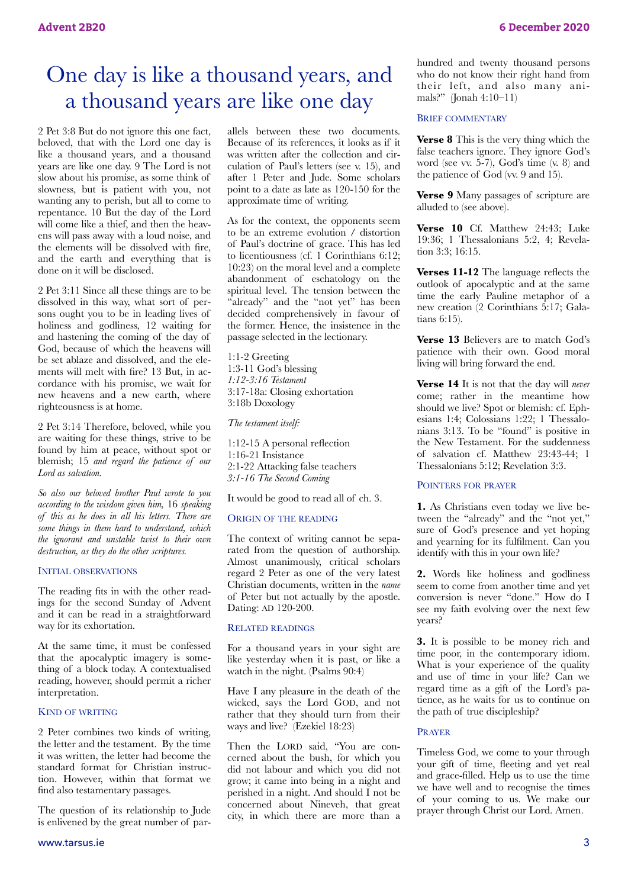## One day is like a thousand years, and a thousand years are like one day

2 Pet 3:8 But do not ignore this one fact, beloved, that with the Lord one day is like a thousand years, and a thousand years are like one day. 9 The Lord is not slow about his promise, as some think of slowness, but is patient with you, not wanting any to perish, but all to come to repentance. 10 But the day of the Lord will come like a thief, and then the heavens will pass away with a loud noise, and the elements will be dissolved with fire, and the earth and everything that is done on it will be disclosed.

2 Pet 3:11 Since all these things are to be dissolved in this way, what sort of persons ought you to be in leading lives of holiness and godliness, 12 waiting for and hastening the coming of the day of God, because of which the heavens will be set ablaze and dissolved, and the elements will melt with fire? 13 But, in accordance with his promise, we wait for new heavens and a new earth, where righteousness is at home.

2 Pet 3:14 Therefore, beloved, while you are waiting for these things, strive to be found by him at peace, without spot or blemish; 15 *and regard the patience of our Lord as salvation.* 

*So also our beloved brother Paul wrote to you according to the wisdom given him,* 16 *speaking of this as he does in all his letters. There are some things in them hard to understand, which the ignorant and unstable twist to their own destruction, as they do the other scriptures.* 

#### INITIAL OBSERVATIONS

The reading fits in with the other readings for the second Sunday of Advent and it can be read in a straightforward way for its exhortation.

At the same time, it must be confessed that the apocalyptic imagery is something of a block today. A contextualised reading, however, should permit a richer interpretation.

#### KIND OF WRITING

2 Peter combines two kinds of writing, the letter and the testament. By the time it was written, the letter had become the standard format for Christian instruction. However, within that format we find also testamentary passages.

The question of its relationship to Jude is enlivened by the great number of parallels between these two documents. Because of its references, it looks as if it was written after the collection and circulation of Paul's letters (see v. 15), and after 1 Peter and Jude. Some scholars point to a date as late as 120-150 for the approximate time of writing.

As for the context, the opponents seem to be an extreme evolution / distortion of Paul's doctrine of grace. This has led to licentiousness (cf. 1 Corinthians 6:12; 10:23) on the moral level and a complete abandonment of eschatology on the spiritual level. The tension between the "already" and the "not yet" has been decided comprehensively in favour of the former. Hence, the insistence in the passage selected in the lectionary.

1:1-2 Greeting 1:3-11 God's blessing *1:12-3:16 Testament*  3:17-18a: Closing exhortation 3:18b Doxology

*The testament itself:* 

1:12-15 A personal reflection 1:16-21 Insistance 2:1-22 Attacking false teachers *3:1-16 The Second Coming* 

It would be good to read all of ch. 3.

#### ORIGIN OF THE READING

The context of writing cannot be separated from the question of authorship. Almost unanimously, critical scholars regard 2 Peter as one of the very latest Christian documents, written in the *name* of Peter but not actually by the apostle. Dating: AD 120-200.

#### RELATED READINGS

For a thousand years in your sight are like yesterday when it is past, or like a watch in the night. (Psalms 90:4)

Have I any pleasure in the death of the wicked, says the Lord GOD, and not rather that they should turn from their ways and live? (Ezekiel 18:23)

Then the LORD said, "You are concerned about the bush, for which you did not labour and which you did not grow; it came into being in a night and perished in a night. And should I not be concerned about Nineveh, that great city, in which there are more than a

hundred and twenty thousand persons who do not know their right hand from their left, and also many animals?" (Jonah 4:10–11)

#### BRIEF COMMENTARY

**Verse 8** This is the very thing which the false teachers ignore. They ignore God's word (see vv. 5-7), God's time (v. 8) and the patience of God (vv. 9 and 15).

**Verse 9** Many passages of scripture are alluded to (see above).

**Verse 10** Cf. Matthew 24:43; Luke 19:36; 1 Thessalonians 5:2, 4; Revelation 3:3; 16:15.

**Verses 11-12** The language reflects the outlook of apocalyptic and at the same time the early Pauline metaphor of a new creation (2 Corinthians 5:17; Galatians 6:15).

**Verse 13** Believers are to match God's patience with their own. Good moral living will bring forward the end.

**Verse 14** It is not that the day will *never*  come; rather in the meantime how should we live? Spot or blemish: cf. Ephesians 1:4; Colossians 1:22; 1 Thessalonians 3:13. To be "found" is positive in the New Testament. For the suddenness of salvation cf. Matthew 23:43-44; 1 Thessalonians 5:12; Revelation 3:3.

#### POINTERS FOR PRAYER

**1.** As Christians even today we live between the "already" and the "not yet," sure of God's presence and yet hoping and yearning for its fulfilment. Can you identify with this in your own life?

**2.** Words like holiness and godliness seem to come from another time and yet conversion is never "done." How do I see my faith evolving over the next few years?

**3.** It is possible to be money rich and time poor, in the contemporary idiom. What is your experience of the quality and use of time in your life? Can we regard time as a gift of the Lord's patience, as he waits for us to continue on the path of true discipleship?

#### PRAYER

Timeless God, we come to your through your gift of time, fleeting and yet real and grace-filled. Help us to use the time we have well and to recognise the times of your coming to us. We make our prayer through Christ our Lord. Amen.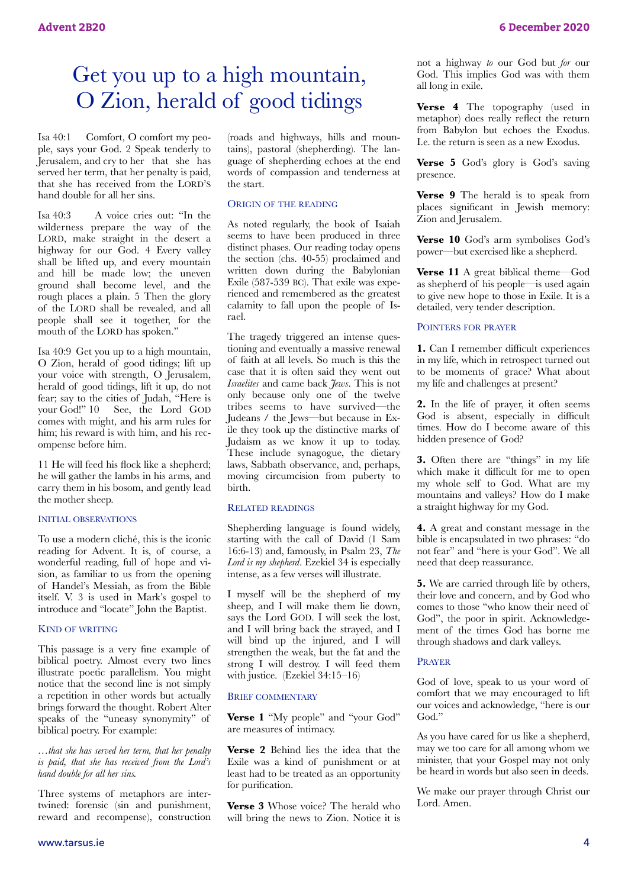## Get you up to a high mountain, O Zion, herald of good tidings

Isa 40:1 Comfort, O comfort my people, says your God. 2 Speak tenderly to Jerusalem, and cry to her that she has served her term, that her penalty is paid, that she has received from the LORD'S hand double for all her sins.

Isa 40:3 A voice cries out: "In the wilderness prepare the way of the LORD, make straight in the desert a highway for our God. 4 Every valley shall be lifted up, and every mountain and hill be made low; the uneven ground shall become level, and the rough places a plain. 5 Then the glory of the LORD shall be revealed, and all people shall see it together, for the mouth of the LORD has spoken."

Isa 40:9 Get you up to a high mountain, O Zion, herald of good tidings; lift up your voice with strength, O Jerusalem, herald of good tidings, lift it up, do not fear; say to the cities of Judah, "Here is See, the Lord GOD comes with might, and his arm rules for him; his reward is with him, and his recompense before him.

11 He will feed his flock like a shepherd; he will gather the lambs in his arms, and carry them in his bosom, and gently lead the mother sheep.

#### INITIAL OBSERVATIONS

To use a modern cliché, this is the iconic reading for Advent. It is, of course, a wonderful reading, full of hope and vision, as familiar to us from the opening of Handel's Messiah, as from the Bible itself. V. 3 is used in Mark's gospel to introduce and "locate" John the Baptist.

#### KIND OF WRITING

This passage is a very fine example of biblical poetry. Almost every two lines illustrate poetic parallelism. You might notice that the second line is not simply a repetition in other words but actually brings forward the thought. Robert Alter speaks of the "uneasy synonymity" of biblical poetry. For example:

*…that she has served her term, that her penalty is paid, that she has received from the Lord's hand double for all her sins.* 

Three systems of metaphors are intertwined: forensic (sin and punishment, reward and recompense), construction

[www.tarsus.ie](http://www.tarsus.ie) 4

(roads and highways, hills and mountains), pastoral (shepherding). The language of shepherding echoes at the end words of compassion and tenderness at the start.

#### ORIGIN OF THE READING

As noted regularly, the book of Isaiah seems to have been produced in three distinct phases. Our reading today opens the section (chs. 40-55) proclaimed and written down during the Babylonian Exile (587-539 BC). That exile was experienced and remembered as the greatest calamity to fall upon the people of Israel.

The tragedy triggered an intense questioning and eventually a massive renewal of faith at all levels. So much is this the case that it is often said they went out *Israelites* and came back *Jews*. This is not only because only one of the twelve tribes seems to have survived—the Judeans / the Jews—but because in Exile they took up the distinctive marks of Judaism as we know it up to today. These include synagogue, the dietary laws, Sabbath observance, and, perhaps, moving circumcision from puberty to birth.

#### RELATED READINGS

Shepherding language is found widely, starting with the call of David (1 Sam 16:6-13) and, famously, in Psalm 23, *The Lord is my shepherd*. Ezekiel 34 is especially intense, as a few verses will illustrate.

I myself will be the shepherd of my sheep, and I will make them lie down, says the Lord GOD. I will seek the lost, and I will bring back the strayed, and I will bind up the injured, and I will strengthen the weak, but the fat and the strong I will destroy. I will feed them with justice. (Ezekiel 34:15–16)

#### BRIEF COMMENTARY

Verse 1 "My people" and "your God" are measures of intimacy.

**Verse 2** Behind lies the idea that the Exile was a kind of punishment or at least had to be treated as an opportunity for purification.

**Verse 3** Whose voice? The herald who will bring the news to Zion. Notice it is not a highway *to* our God but *for* our God. This implies God was with them all long in exile.

**Verse 4** The topography (used in metaphor) does really reflect the return from Babylon but echoes the Exodus. I.e. the return is seen as a new Exodus.

**Verse 5** God's glory is God's saving presence.

**Verse 9** The herald is to speak from places significant in Jewish memory: Zion and Jerusalem.

**Verse 10** God's arm symbolises God's power—but exercised like a shepherd.

**Verse 11** A great biblical theme—God as shepherd of his people—is used again to give new hope to those in Exile. It is a detailed, very tender description.

#### POINTERS FOR PRAYER

**1.** Can I remember difficult experiences in my life, which in retrospect turned out to be moments of grace? What about my life and challenges at present?

**2.** In the life of prayer, it often seems God is absent, especially in difficult times. How do I become aware of this hidden presence of God?

**3.** Often there are "things" in my life which make it difficult for me to open my whole self to God. What are my mountains and valleys? How do I make a straight highway for my God.

**4.** A great and constant message in the bible is encapsulated in two phrases: "do not fear" and "here is your God". We all need that deep reassurance.

**5.** We are carried through life by others, their love and concern, and by God who comes to those "who know their need of God", the poor in spirit. Acknowledgement of the times God has borne me through shadows and dark valleys.

#### PRAYER

God of love, speak to us your word of comfort that we may encouraged to lift our voices and acknowledge, "here is our God."

As you have cared for us like a shepherd, may we too care for all among whom we minister, that your Gospel may not only be heard in words but also seen in deeds.

We make our prayer through Christ our Lord. Amen.